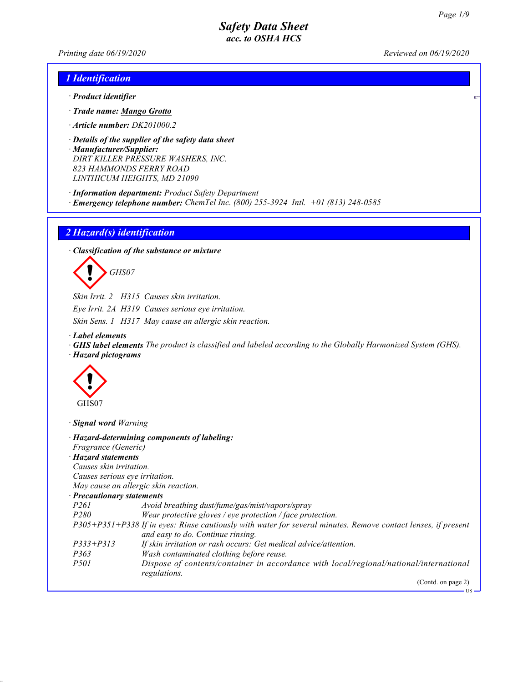US

Printing date 06/19/2020 Reviewed on 06/19/2020

### 1 Identification

- · Product identifier
- · Trade name: Mango Grotto
- · Article number: DK201000.2
- · Details of the supplier of the safety data sheet · Manufacturer/Supplier: DIRT KILLER PRESSURE WASHERS, INC. 823 HAMMONDS FERRY ROAD LINTHICUM HEIGHTS, MD 21090
- · Information department: Product Safety Department
- $\cdot$  Emergency telephone number: ChemTel Inc. (800) 255-3924 Intl.  $+01$  (813) 248-0585

### 2 Hazard(s) identification

· Classification of the substance or mixture



Skin Irrit. 2 H315 Causes skin irritation. Eye Irrit. 2A H319 Causes serious eye irritation. Skin Sens. 1 H317 May cause an allergic skin reaction.

#### · Label elements

· GHS label elements The product is classified and labeled according to the Globally Harmonized System (GHS). · Hazard pictograms



· Signal word Warning

| Fragrance (Generic)                  | · Hazard-determining components of labeling:                                                                  |
|--------------------------------------|---------------------------------------------------------------------------------------------------------------|
| · Hazard statements                  |                                                                                                               |
| Causes skin irritation.              |                                                                                                               |
| Causes serious eye irritation.       |                                                                                                               |
| May cause an allergic skin reaction. |                                                                                                               |
| · Precautionary statements           |                                                                                                               |
| <i>P261</i>                          | Avoid breathing dust/fume/gas/mist/vapors/spray                                                               |
| <i>P280</i>                          | Wear protective gloves / eye protection / face protection.                                                    |
|                                      | P305+P351+P338 If in eyes: Rinse cautiously with water for several minutes. Remove contact lenses, if present |
|                                      | and easy to do. Continue rinsing.                                                                             |
| $P333 + P313$                        | If skin irritation or rash occurs: Get medical advice/attention.                                              |
| P363                                 | Wash contaminated clothing before reuse.                                                                      |
| <i>P501</i>                          | Dispose of contents/container in accordance with local/regional/national/international                        |
|                                      | regulations.                                                                                                  |
|                                      | (Contd. on page 2)                                                                                            |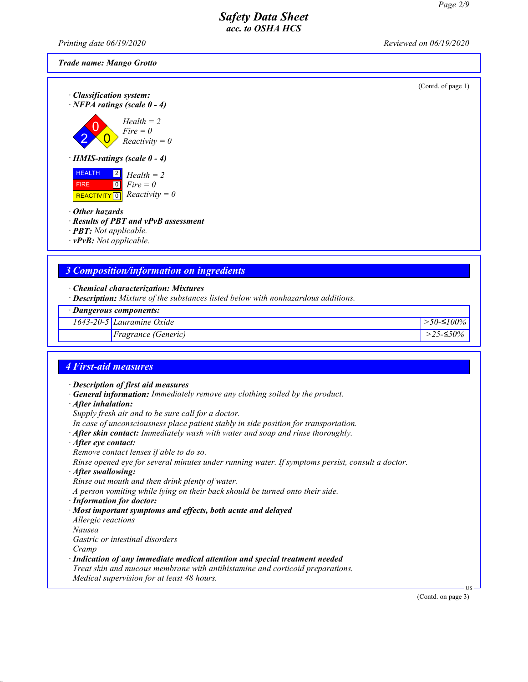Printing date 06/19/2020 Reviewed on 06/19/2020

#### Trade name: Mango Grotto

(Contd. of page 1)

· Classification system: · NFPA ratings (scale 0 - 4)

2 0  $\overline{\mathbf{0}}$  $Health = 2$  $Fire = 0$  $Reactivity = 0$ 

· HMIS-ratings (scale 0 - 4)

**HEALTH**  FIRE **REACTIVITY** 0  $\angle$  Health = 2  $\overline{0}$  $Fire = 0$  $Reactivity = 0$ 

- · Other hazards
- · Results of PBT and vPvB assessment
- · PBT: Not applicable.

 $\cdot$  vPvB: Not applicable.

### 3 Composition/information on ingredients

- · Chemical characterization: Mixtures
- · Description: Mixture of the substances listed below with nonhazardous additions.

| · Dangerous components:            |                  |
|------------------------------------|------------------|
| $1643-20-5$ <i>Lauramine Oxide</i> | $1 > 50 - 100\%$ |
| <i>Fragrance (Generic)</i>         | $>$ 25–≤50%      |

### 4 First-aid measures

- · Description of first aid measures
- · General information: Immediately remove any clothing soiled by the product.
- · After inhalation:
- Supply fresh air and to be sure call for a doctor.
- In case of unconsciousness place patient stably in side position for transportation.
- · After skin contact: Immediately wash with water and soap and rinse thoroughly.
- · After eye contact:
- Remove contact lenses if able to do so.
- Rinse opened eye for several minutes under running water. If symptoms persist, consult a doctor.
- · After swallowing:
- Rinse out mouth and then drink plenty of water.
- A person vomiting while lying on their back should be turned onto their side.
- · Information for doctor:
- · Most important symptoms and effects, both acute and delayed
- Allergic reactions
- Nausea

Gastric or intestinal disorders Cramp

- Indication of any immediate medical attention and special treatment needed
- Treat skin and mucous membrane with antihistamine and corticoid preparations. Medical supervision for at least 48 hours.

(Contd. on page 3)

US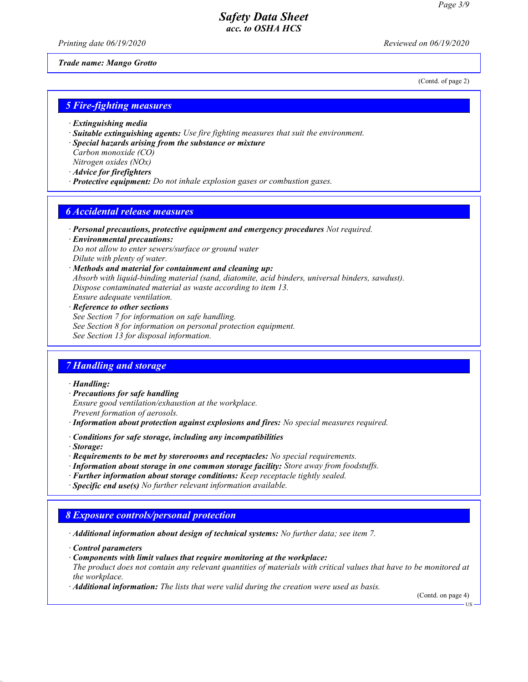Printing date 06/19/2020 Reviewed on 06/19/2020

(Contd. of page 2)

#### Trade name: Mango Grotto

#### 5 Fire-fighting measures

- · Extinguishing media
- · Suitable extinguishing agents: Use fire fighting measures that suit the environment.
- · Special hazards arising from the substance or mixture

Carbon monoxide (CO) Nitrogen oxides (NOx)

· Advice for firefighters

· Protective equipment: Do not inhale explosion gases or combustion gases.

#### 6 Accidental release measures

- · Personal precautions, protective equipment and emergency procedures Not required.
- · Environmental precautions: Do not allow to enter sewers/surface or ground water
- Dilute with plenty of water.
- · Methods and material for containment and cleaning up: Absorb with liquid-binding material (sand, diatomite, acid binders, universal binders, sawdust). Dispose contaminated material as waste according to item 13. Ensure adequate ventilation.
- Reference to other sections See Section 7 for information on safe handling. See Section 8 for information on personal protection equipment. See Section 13 for disposal information.

### 7 Handling and storage

· Handling:

- · Precautions for safe handling
- Ensure good ventilation/exhaustion at the workplace.
- Prevent formation of aerosols.
- · Information about protection against explosions and fires: No special measures required.
- · Conditions for safe storage, including any incompatibilities
- · Storage:
- · Requirements to be met by storerooms and receptacles: No special requirements.
- · Information about storage in one common storage facility: Store away from foodstuffs.
- · Further information about storage conditions: Keep receptacle tightly sealed.
- · Specific end use(s) No further relevant information available.

#### 8 Exposure controls/personal protection

- · Additional information about design of technical systems: No further data; see item 7.
- · Control parameters
- · Components with limit values that require monitoring at the workplace:
- The product does not contain any relevant quantities of materials with critical values that have to be monitored at the workplace.
- · Additional information: The lists that were valid during the creation were used as basis.

(Contd. on page 4)

US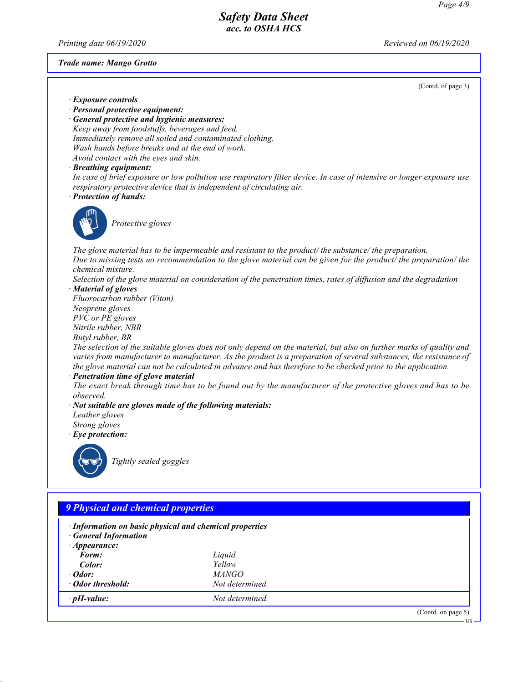Printing date  $06/19/2020$  Reviewed on  $06/19/2020$ 

# Trade name: Mango Grotto

(Contd. of page 3)

|                                                         | (Comu. or page $\sigma$ )                                                                                             |
|---------------------------------------------------------|-----------------------------------------------------------------------------------------------------------------------|
| · Exposure controls                                     |                                                                                                                       |
| · Personal protective equipment:                        |                                                                                                                       |
| · General protective and hygienic measures:             |                                                                                                                       |
| Keep away from foodstuffs, beverages and feed.          |                                                                                                                       |
|                                                         | Immediately remove all soiled and contaminated clothing.                                                              |
| Wash hands before breaks and at the end of work.        |                                                                                                                       |
| Avoid contact with the eyes and skin.                   |                                                                                                                       |
| · Breathing equipment:                                  |                                                                                                                       |
|                                                         | In case of brief exposure or low pollution use respiratory filter device. In case of intensive or longer exposure use |
|                                                         | respiratory protective device that is independent of circulating air.                                                 |
| · Protection of hands:                                  |                                                                                                                       |
|                                                         |                                                                                                                       |
| Protective gloves                                       |                                                                                                                       |
|                                                         |                                                                                                                       |
|                                                         |                                                                                                                       |
|                                                         | The glove material has to be impermeable and resistant to the product/ the substance/ the preparation.                |
|                                                         | Due to missing tests no recommendation to the glove material can be given for the product/ the preparation/ the       |
| chemical mixture.                                       |                                                                                                                       |
|                                                         | Selection of the glove material on consideration of the penetration times, rates of diffusion and the degradation     |
| · Material of gloves                                    |                                                                                                                       |
| Fluorocarbon rubber (Viton)                             |                                                                                                                       |
| Neoprene gloves                                         |                                                                                                                       |
| PVC or PE gloves                                        |                                                                                                                       |
| Nitrile rubber, NBR                                     |                                                                                                                       |
| Butyl rubber, BR                                        |                                                                                                                       |
|                                                         | The selection of the suitable gloves does not only depend on the material, but also on further marks of quality and   |
|                                                         | varies from manufacturer to manufacturer. As the product is a preparation of several substances, the resistance of    |
|                                                         | the glove material can not be calculated in advance and has therefore to be checked prior to the application.         |
| · Penetration time of glove material                    |                                                                                                                       |
|                                                         | The exact break through time has to be found out by the manufacturer of the protective gloves and has to be           |
| observed.                                               |                                                                                                                       |
|                                                         | · Not suitable are gloves made of the following materials:                                                            |
| Leather gloves                                          |                                                                                                                       |
| Strong gloves                                           |                                                                                                                       |
| $\cdot$ Eye protection:                                 |                                                                                                                       |
|                                                         |                                                                                                                       |
|                                                         |                                                                                                                       |
| Tightly sealed goggles                                  |                                                                                                                       |
|                                                         |                                                                                                                       |
|                                                         |                                                                                                                       |
|                                                         |                                                                                                                       |
| <b>9 Physical and chemical properties</b>               |                                                                                                                       |
| · Information on basic physical and chemical properties |                                                                                                                       |
| <b>General Information</b>                              |                                                                                                                       |
| $\cdot$ Appearance:                                     |                                                                                                                       |
| Form:                                                   | Liquid                                                                                                                |
| Color:                                                  | Yellow                                                                                                                |
| · Odor:                                                 | <b>MANGO</b>                                                                                                          |
| Odor threshold:                                         | Not determined.                                                                                                       |
|                                                         |                                                                                                                       |
| $\cdot$ pH-value:                                       | Not determined.                                                                                                       |

(Contd. on page 5) US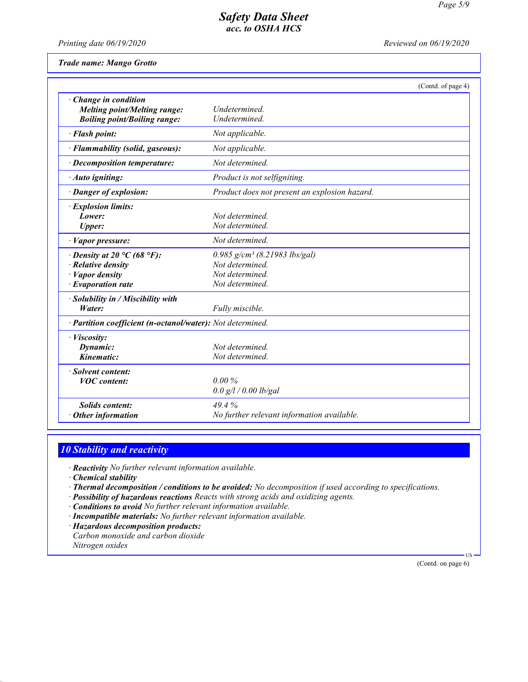Printing date 06/19/2020 Reviewed on 06/19/2020

| Trade name: Mango Grotto |  |
|--------------------------|--|
|--------------------------|--|

|                                                            | (Contd. of page 4)                            |  |
|------------------------------------------------------------|-----------------------------------------------|--|
| Change in condition                                        |                                               |  |
| <b>Melting point/Melting range:</b>                        | Undetermined.                                 |  |
| <b>Boiling point/Boiling range:</b>                        | Undetermined.                                 |  |
| · Flash point:                                             | Not applicable.                               |  |
| · Flammability (solid, gaseous):                           | Not applicable.                               |  |
| · Decomposition temperature:                               | Not determined.                               |  |
| · Auto igniting:                                           | Product is not selfigniting.                  |  |
| · Danger of explosion:                                     | Product does not present an explosion hazard. |  |
| · Explosion limits:                                        |                                               |  |
| Lower:                                                     | Not determined.                               |  |
| <b>Upper:</b>                                              | Not determined.                               |  |
| · Vapor pressure:                                          | Not determined.                               |  |
| $\cdot$ Density at 20 °C (68 °F):                          | $0.985$ g/cm <sup>3</sup> (8.21983 lbs/gal)   |  |
| $\cdot$ Relative density                                   | Not determined.                               |  |
| $\cdot$ <i>Vapor density</i>                               | Not determined.                               |  |
| $\cdot$ Evaporation rate                                   | Not determined.                               |  |
| · Solubility in / Miscibility with                         |                                               |  |
| Water:                                                     | Fully miscible.                               |  |
| · Partition coefficient (n-octanol/water): Not determined. |                                               |  |
| · Viscosity:                                               |                                               |  |
| Dynamic:                                                   | Not determined.                               |  |
| Kinematic:                                                 | Not determined.                               |  |
| · Solvent content:                                         |                                               |  |
| <b>VOC</b> content:                                        | $0.00\%$                                      |  |
|                                                            | $0.0$ g/l / 0.00 lb/gal                       |  |
| <b>Solids content:</b>                                     | 494%                                          |  |
| $\cdot$ Other information                                  | No further relevant information available.    |  |

# 10 Stability and reactivity

· Reactivity No further relevant information available.

· Chemical stability

· Thermal decomposition / conditions to be avoided: No decomposition if used according to specifications.

- · Possibility of hazardous reactions Reacts with strong acids and oxidizing agents.
- · Conditions to avoid No further relevant information available.
- · Incompatible materials: No further relevant information available.
- · Hazardous decomposition products: Carbon monoxide and carbon dioxide

Nitrogen oxides

(Contd. on page 6)

US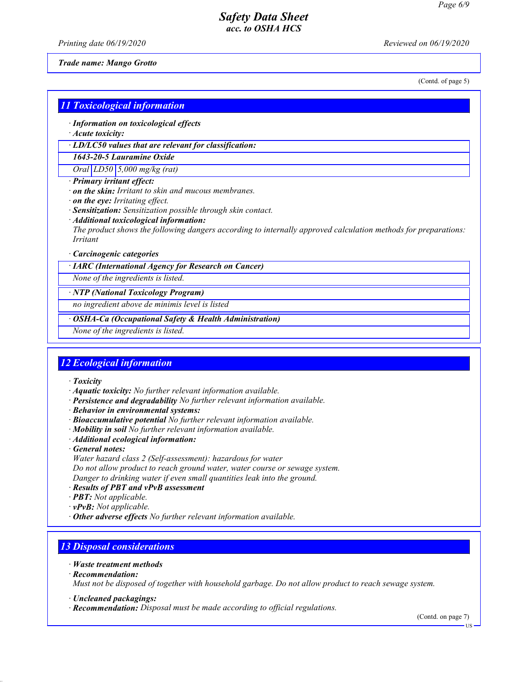Printing date 06/19/2020 Reviewed on 06/19/2020

#### Trade name: Mango Grotto

(Contd. of page 5)

### 11 Toxicological information

· Information on toxicological effects

· Acute toxicity:

· LD/LC50 values that are relevant for classification:

#### 1643-20-5 Lauramine Oxide

Oral LD50 5,000 mg/kg (rat)

- · Primary irritant effect:
- · on the skin: Irritant to skin and mucous membranes.
- · on the eye: Irritating effect.

· Sensitization: Sensitization possible through skin contact.

· Additional toxicological information:

The product shows the following dangers according to internally approved calculation methods for preparations: Irritant

#### · Carcinogenic categories

· IARC (International Agency for Research on Cancer)

None of the ingredients is listed.

· NTP (National Toxicology Program)

no ingredient above de minimis level is listed

#### · OSHA-Ca (Occupational Safety & Health Administration)

None of the ingredients is listed.

### 12 Ecological information

- · Toxicity
- · Aquatic toxicity: No further relevant information available.
- · Persistence and degradability No further relevant information available.
- · Behavior in environmental systems:
- · Bioaccumulative potential No further relevant information available.
- $\cdot$  **Mobility in soil** No further relevant information available.
- · Additional ecological information:
- · General notes:
- Water hazard class 2 (Self-assessment): hazardous for water
- Do not allow product to reach ground water, water course or sewage system.
- Danger to drinking water if even small quantities leak into the ground.
- · Results of PBT and vPvB assessment
- · PBT: Not applicable.
- $\cdot$  **vPvB:** Not applicable.
- · Other adverse effects No further relevant information available.

# 13 Disposal considerations

- · Waste treatment methods
- · Recommendation:

Must not be disposed of together with household garbage. Do not allow product to reach sewage system.

- · Uncleaned packagings:
- · Recommendation: Disposal must be made according to official regulations.

(Contd. on page 7)

US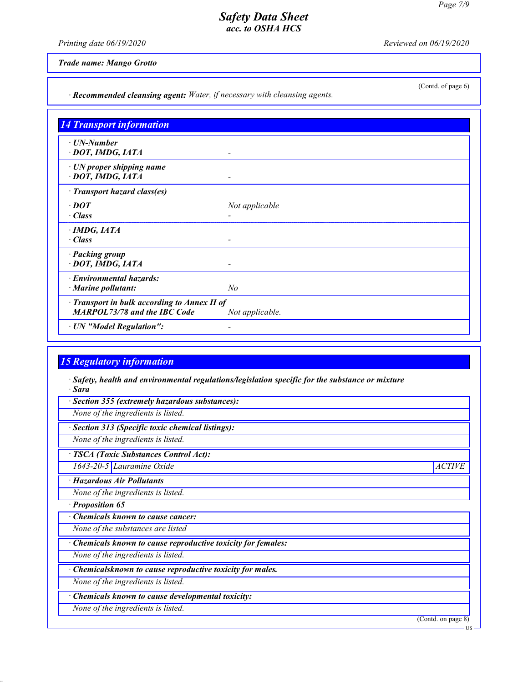Printing date 06/19/2020 Reviewed on 06/19/2020

(Contd. of page 6)

Trade name: Mango Grotto

· Recommended cleansing agent: Water, if necessary with cleansing agents.

| <b>14 Transport information</b>                                                     |                 |
|-------------------------------------------------------------------------------------|-----------------|
| $\cdot$ UN-Number<br>· DOT, IMDG, IATA                                              |                 |
| $\cdot$ UN proper shipping name<br>· DOT, IMDG, IATA                                |                 |
| · Transport hazard class(es)                                                        |                 |
| $\cdot$ DOT                                                                         | Not applicable  |
| $\cdot$ Class                                                                       |                 |
| $\cdot$ IMDG, IATA<br>$\cdot$ Class                                                 |                 |
| · Packing group<br>· DOT, IMDG, IATA                                                |                 |
| · Environmental hazards:<br>$\cdot$ Marine pollutant:                               | N <sub>o</sub>  |
| · Transport in bulk according to Annex II of<br><b>MARPOL73/78 and the IBC Code</b> | Not applicable. |
| · UN "Model Regulation":                                                            |                 |

# 15 Regulatory information

· Safety, health and environmental regulations/legislation specific for the substance or mixture · Sara

· Section 355 (extremely hazardous substances):

None of the ingredients is listed.

· Section 313 (Specific toxic chemical listings):

None of the ingredients is listed.

· TSCA (Toxic Substances Control Act):

1643-20-5 Lauramine Oxide ACTIVE

· Hazardous Air Pollutants

None of the ingredients is listed.

· Proposition 65

· Chemicals known to cause cancer:

None of the substances are listed

· Chemicals known to cause reproductive toxicity for females:

None of the ingredients is listed.

· Chemicalsknown to cause reproductive toxicity for males.

None of the ingredients is listed.

Chemicals known to cause developmental toxicity:

None of the ingredients is listed.

(Contd. on page 8)

US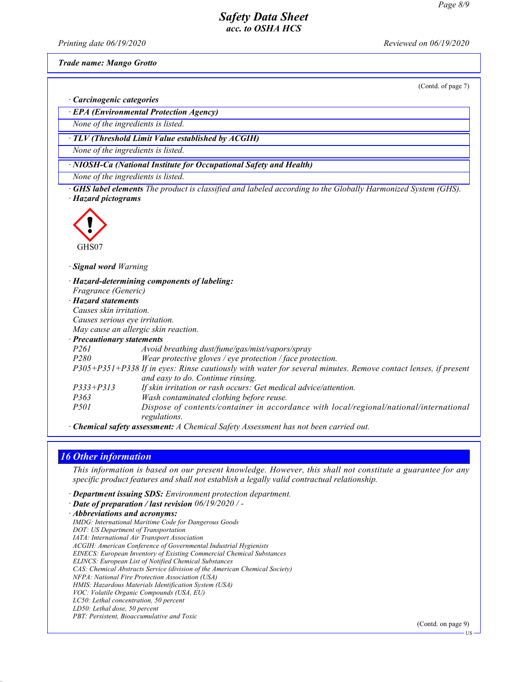Printing date 06/19/2020 Reviewed on 06/19/2020

Trade name: Mango Grotto

(Contd. of page 7)

· Carcinogenic categories

· EPA (Environmental Protection Agency)

None of the ingredients is listed.

· TLV (Threshold Limit Value established by ACGIH)

None of the ingredients is listed.

· NIOSH-Ca (National Institute for Occupational Safety and Health)

None of the ingredients is listed.

· GHS label elements The product is classified and labeled according to the Globally Harmonized System (GHS). · Hazard pictograms



· Signal word Warning

· Hazard-determining components of labeling: Fragrance (Generic) · Hazard statements Causes skin irritation. Causes serious eye irritation. May cause an allergic skin reaction. · Precautionary statements P261 Avoid breathing dust/fume/gas/mist/vapors/spray P280 Wear protective gloves / eye protection / face protection. P305+P351+P338 If in eyes: Rinse cautiously with water for several minutes. Remove contact lenses, if present and easy to do. Continue rinsing. P333+P313 If skin irritation or rash occurs: Get medical advice/attention. P363 Wash contaminated clothing before reuse.<br>P501 Dispose of contents/container in accor. Dispose of contents/container in accordance with local/regional/national/international regulations.

· Chemical safety assessment: A Chemical Safety Assessment has not been carried out.

# 16 Other information

This information is based on our present knowledge. However, this shall not constitute a guarantee for any specific product features and shall not establish a legally valid contractual relationship.

· Department issuing SDS: Environment protection department.

- · Date of preparation / last revision 06/19/2020 / -
- · Abbreviations and acronyms: IMDG: International Maritime Code for Dangerous Goods

DOT: US Department of Transportation

IATA: International Air Transport Association

ACGIH: American Conference of Governmental Industrial Hygienists EINECS: European Inventory of Existing Commercial Chemical Substances

ELINCS: European List of Notified Chemical Substances

CAS: Chemical Abstracts Service (division of the American Chemical Society)

NFPA: National Fire Protection Association (USA)

HMIS: Hazardous Materials Identification System (USA)

VOC: Volatile Organic Compounds (USA, EU)

LC50: Lethal concentration, 50 percent

LD50: Lethal dose, 50 percent PBT: Persistent, Bioaccumulative and Toxic

(Contd. on page 9)

US